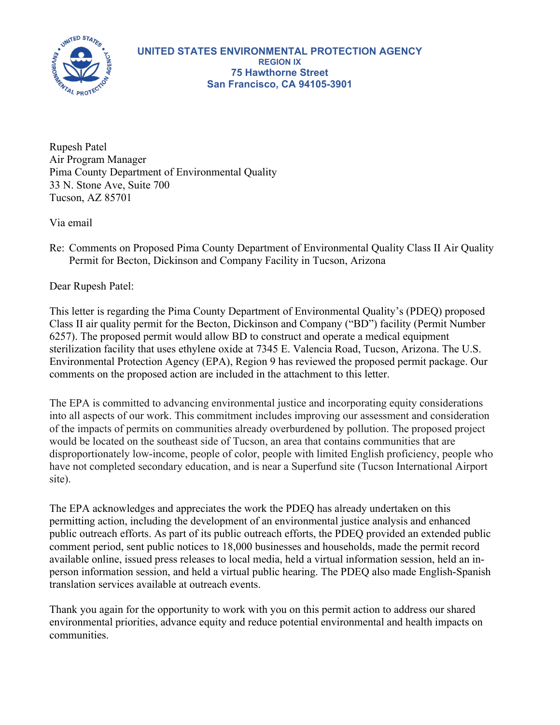

Rupesh Patel Air Program Manager Pima County Department of Environmental Quality 33 N. Stone Ave, Suite 700 Tucson, AZ 85701

Via email

Re: Comments on Proposed Pima County Department of Environmental Quality Class II Air Quality Permit for Becton, Dickinson and Company Facility in Tucson, Arizona

Dear Rupesh Patel:

This letter is regarding the Pima County Department of Environmental Quality's (PDEQ) proposed Class II air quality permit for the Becton, Dickinson and Company ("BD") facility (Permit Number 6257). The proposed permit would allow BD to construct and operate a medical equipment sterilization facility that uses ethylene oxide at 7345 E. Valencia Road, Tucson, Arizona. The U.S. Environmental Protection Agency (EPA), Region 9 has reviewed the proposed permit package. Our comments on the proposed action are included in the attachment to this letter.

The EPA is committed to advancing environmental justice and incorporating equity considerations into all aspects of our work. This commitment includes improving our assessment and consideration of the impacts of permits on communities already overburdened by pollution. The proposed project would be located on the southeast side of Tucson, an area that contains communities that are disproportionately low-income, people of color, people with limited English proficiency, people who have not completed secondary education, and is near a Superfund site (Tucson International Airport site).

The EPA acknowledges and appreciates the work the PDEQ has already undertaken on this permitting action, including the development of an environmental justice analysis and enhanced public outreach efforts. As part of its public outreach efforts, the PDEQ provided an extended public comment period, sent public notices to 18,000 businesses and households, made the permit record available online, issued press releases to local media, held a virtual information session, held an inperson information session, and held a virtual public hearing. The PDEQ also made English-Spanish translation services available at outreach events.

Thank you again for the opportunity to work with you on this permit action to address our shared environmental priorities, advance equity and reduce potential environmental and health impacts on communities.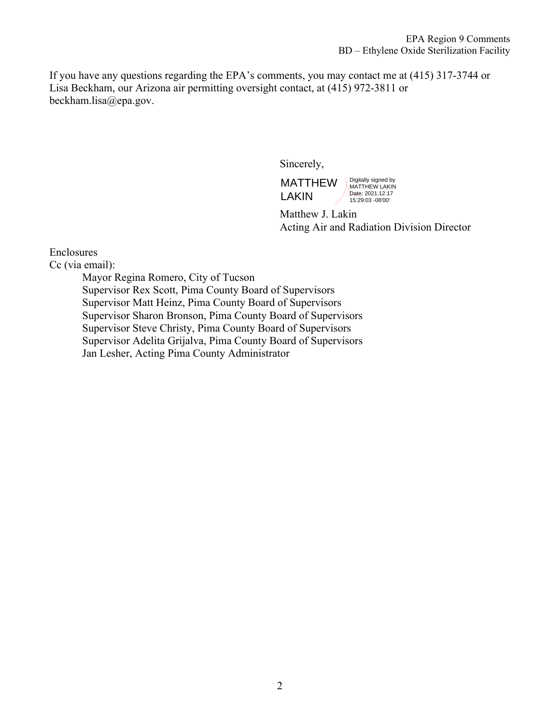If you have any questions regarding the EPA's comments, you may contact me at (415) 317-3744 or Lisa Beckham, our Arizona air permitting oversight contact, at (415) 972-3811 or beckham.lisa@epa.gov.

Sincerely,

MATTHEW LAKIN Digitally signed by MATTHEW LAKIN Date: 2021.12.17 15:29:03 -08'00'

Matthew J. Lakin Acting Air and Radiation Division Director

## Enclosures

Cc (via email):

Mayor Regina Romero, City of Tucson Supervisor Rex Scott, Pima County Board of Supervisors Supervisor Matt Heinz, Pima County Board of Supervisors Supervisor Sharon Bronson, Pima County Board of Supervisors Supervisor Steve Christy, Pima County Board of Supervisors Supervisor Adelita Grijalva, Pima County Board of Supervisors Jan Lesher, Acting Pima County Administrator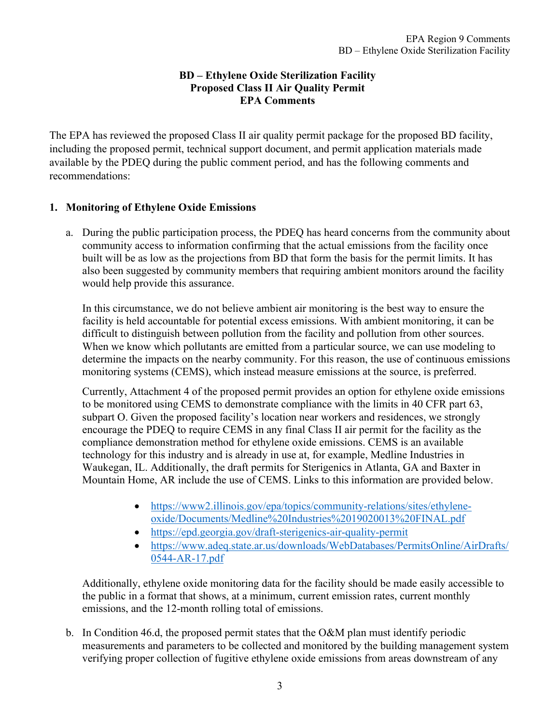## **BD – Ethylene Oxide Sterilization Facility Proposed Class II Air Quality Permit EPA Comments**

The EPA has reviewed the proposed Class II air quality permit package for the proposed BD facility, including the proposed permit, technical support document, and permit application materials made available by the PDEQ during the public comment period, and has the following comments and recommendations:

## **1. Monitoring of Ethylene Oxide Emissions**

a. During the public participation process, the PDEQ has heard concerns from the community about community access to information confirming that the actual emissions from the facility once built will be as low as the projections from BD that form the basis for the permit limits. It has also been suggested by community members that requiring ambient monitors around the facility would help provide this assurance.

In this circumstance, we do not believe ambient air monitoring is the best way to ensure the facility is held accountable for potential excess emissions. With ambient monitoring, it can be difficult to distinguish between pollution from the facility and pollution from other sources. When we know which pollutants are emitted from a particular source, we can use modeling to determine the impacts on the nearby community. For this reason, the use of continuous emissions monitoring systems (CEMS), which instead measure emissions at the source, is preferred.

Currently, Attachment 4 of the proposed permit provides an option for ethylene oxide emissions to be monitored using CEMS to demonstrate compliance with the limits in 40 CFR part 63, subpart O. Given the proposed facility's location near workers and residences, we strongly encourage the PDEQ to require CEMS in any final Class II air permit for the facility as the compliance demonstration method for ethylene oxide emissions. CEMS is an available technology for this industry and is already in use at, for example, Medline Industries in Waukegan, IL. Additionally, the draft permits for Sterigenics in Atlanta, GA and Baxter in Mountain Home, AR include the use of CEMS. Links to this information are provided below.

- [https://www2.illinois.gov/epa/topics/community-relations/sites/ethylene](https://www2.illinois.gov/epa/topics/community-relations/sites/ethylene-oxide/Documents/Medline%20Industries%2019020013%20FINAL.pdf)[oxide/Documents/Medline%20Industries%2019020013%20FINAL.pdf](https://www2.illinois.gov/epa/topics/community-relations/sites/ethylene-oxide/Documents/Medline%20Industries%2019020013%20FINAL.pdf)
- <https://epd.georgia.gov/draft-sterigenics-air-quality-permit>
- [https://www.adeq.state.ar.us/downloads/WebDatabases/PermitsOnline/AirDrafts/](https://www.adeq.state.ar.us/downloads/WebDatabases/PermitsOnline/AirDrafts/0544-AR-17.pdf) [0544-AR-17.pdf](https://www.adeq.state.ar.us/downloads/WebDatabases/PermitsOnline/AirDrafts/0544-AR-17.pdf)

Additionally, ethylene oxide monitoring data for the facility should be made easily accessible to the public in a format that shows, at a minimum, current emission rates, current monthly emissions, and the 12-month rolling total of emissions.

b. In Condition 46.d, the proposed permit states that the O&M plan must identify periodic measurements and parameters to be collected and monitored by the building management system verifying proper collection of fugitive ethylene oxide emissions from areas downstream of any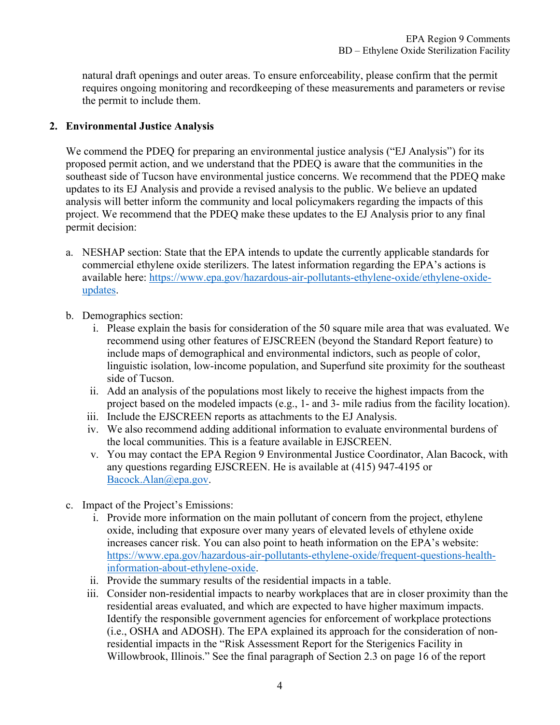natural draft openings and outer areas. To ensure enforceability, please confirm that the permit requires ongoing monitoring and recordkeeping of these measurements and parameters or revise the permit to include them.

## **2. Environmental Justice Analysis**

We commend the PDEQ for preparing an environmental justice analysis ("EJ Analysis") for its proposed permit action, and we understand that the PDEQ is aware that the communities in the southeast side of Tucson have environmental justice concerns. We recommend that the PDEQ make updates to its EJ Analysis and provide a revised analysis to the public. We believe an updated analysis will better inform the community and local policymakers regarding the impacts of this project. We recommend that the PDEQ make these updates to the EJ Analysis prior to any final permit decision:

- a. NESHAP section: State that the EPA intends to update the currently applicable standards for commercial ethylene oxide sterilizers. The latest information regarding the EPA's actions is available here: [https://www.epa.gov/hazardous-air-pollutants-ethylene-oxide/ethylene-oxide](https://www.epa.gov/hazardous-air-pollutants-ethylene-oxide/ethylene-oxide-updates)[updates.](https://www.epa.gov/hazardous-air-pollutants-ethylene-oxide/ethylene-oxide-updates)
- b. Demographics section:
	- i. Please explain the basis for consideration of the 50 square mile area that was evaluated. We recommend using other features of EJSCREEN (beyond the Standard Report feature) to include maps of demographical and environmental indictors, such as people of color, linguistic isolation, low-income population, and Superfund site proximity for the southeast side of Tucson.
	- ii. Add an analysis of the populations most likely to receive the highest impacts from the project based on the modeled impacts (e.g., 1- and 3- mile radius from the facility location).
	- iii. Include the EJSCREEN reports as attachments to the EJ Analysis.
	- iv. We also recommend adding additional information to evaluate environmental burdens of the local communities. This is a feature available in EJSCREEN.
	- v. You may contact the EPA Region 9 Environmental Justice Coordinator, Alan Bacock, with any questions regarding EJSCREEN. He is available at (415) 947-4195 or [Bacock.Alan@epa.gov.](mailto:Bacock.Alan@epa.gov)
- c. Impact of the Project's Emissions:
	- i. Provide more information on the main pollutant of concern from the project, ethylene oxide, including that exposure over many years of elevated levels of ethylene oxide increases cancer risk. You can also point to heath information on the EPA's website: [https://www.epa.gov/hazardous-air-pollutants-ethylene-oxide/frequent-questions-health](https://www.epa.gov/hazardous-air-pollutants-ethylene-oxide/frequent-questions-health-information-about-ethylene-oxide)[information-about-ethylene-oxide.](https://www.epa.gov/hazardous-air-pollutants-ethylene-oxide/frequent-questions-health-information-about-ethylene-oxide)
	- ii. Provide the summary results of the residential impacts in a table.
	- iii. Consider non-residential impacts to nearby workplaces that are in closer proximity than the residential areas evaluated, and which are expected to have higher maximum impacts. Identify the responsible government agencies for enforcement of workplace protections (i.e., OSHA and ADOSH). The EPA explained its approach for the consideration of nonresidential impacts in the "Risk Assessment Report for the Sterigenics Facility in Willowbrook, Illinois." See the final paragraph of Section 2.3 on page 16 of the report